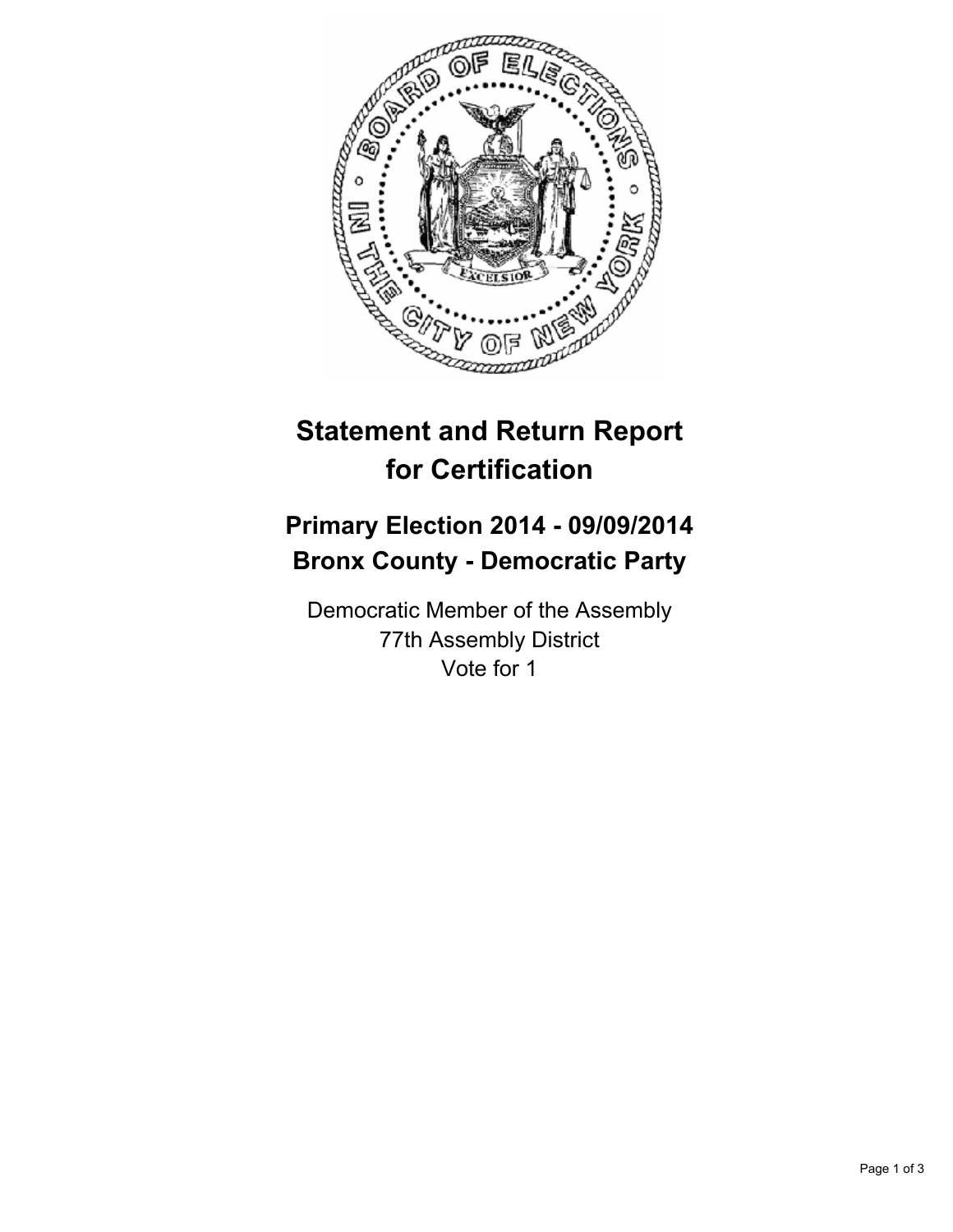

## **Statement and Return Report for Certification**

## **Primary Election 2014 - 09/09/2014 Bronx County - Democratic Party**

Democratic Member of the Assembly 77th Assembly District Vote for 1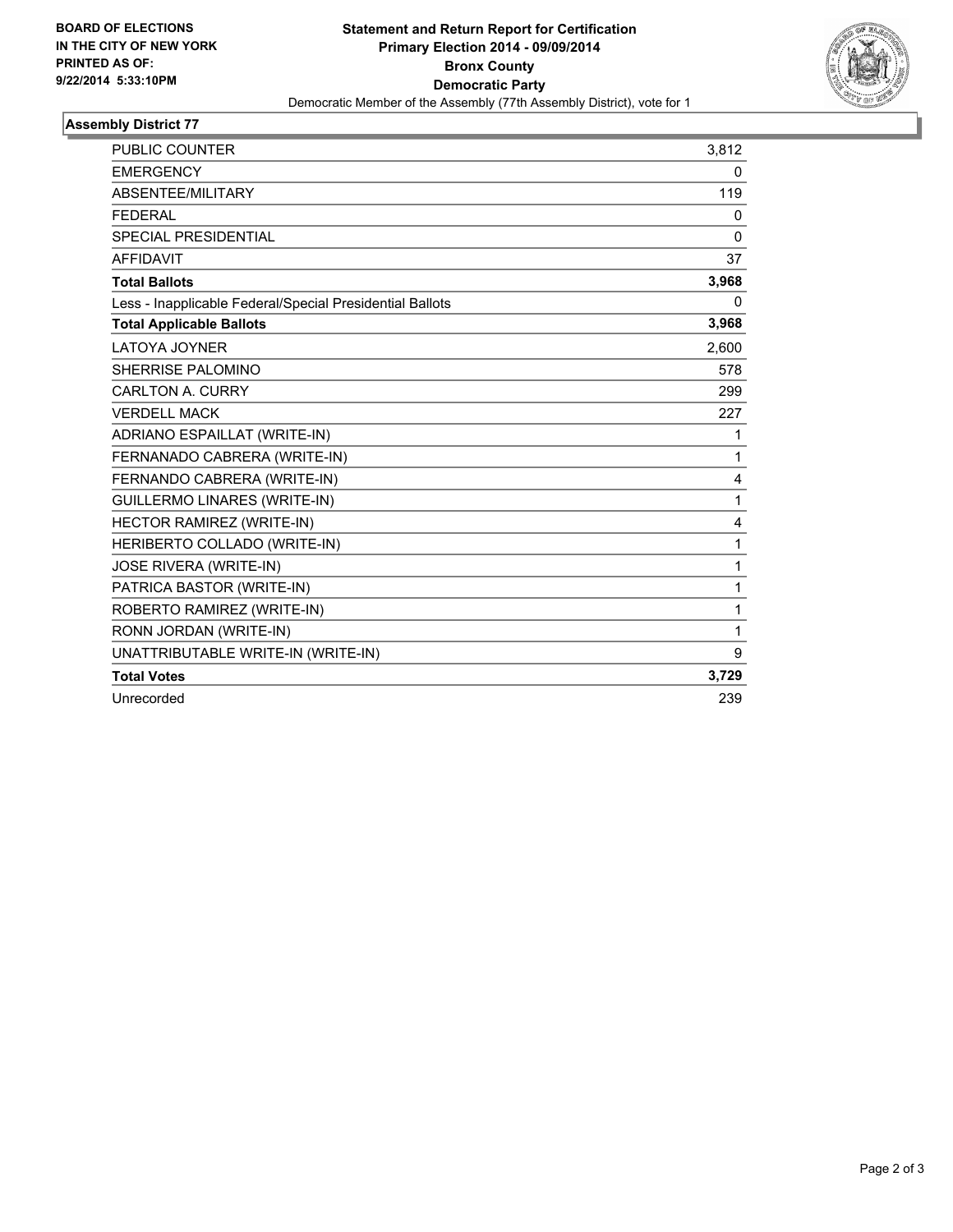

## **Assembly District 77**

| <b>PUBLIC COUNTER</b>                                    | 3,812        |
|----------------------------------------------------------|--------------|
| <b>EMERGENCY</b>                                         | 0            |
| ABSENTEE/MILITARY                                        | 119          |
| <b>FEDERAL</b>                                           | 0            |
| <b>SPECIAL PRESIDENTIAL</b>                              | 0            |
| <b>AFFIDAVIT</b>                                         | 37           |
| <b>Total Ballots</b>                                     | 3,968        |
| Less - Inapplicable Federal/Special Presidential Ballots | 0            |
| <b>Total Applicable Ballots</b>                          | 3,968        |
| <b>LATOYA JOYNER</b>                                     | 2.600        |
| SHERRISE PALOMINO                                        | 578          |
| <b>CARLTON A. CURRY</b>                                  | 299          |
| <b>VERDELL MACK</b>                                      | 227          |
| ADRIANO ESPAILLAT (WRITE-IN)                             | 1            |
| FERNANADO CABRERA (WRITE-IN)                             | $\mathbf{1}$ |
| FERNANDO CABRERA (WRITE-IN)                              | 4            |
| <b>GUILLERMO LINARES (WRITE-IN)</b>                      | $\mathbf{1}$ |
| HECTOR RAMIREZ (WRITE-IN)                                | 4            |
| HERIBERTO COLLADO (WRITE-IN)                             | $\mathbf{1}$ |
| <b>JOSE RIVERA (WRITE-IN)</b>                            | $\mathbf 1$  |
| PATRICA BASTOR (WRITE-IN)                                | 1            |
| ROBERTO RAMIREZ (WRITE-IN)                               | 1            |
| RONN JORDAN (WRITE-IN)                                   | 1            |
| UNATTRIBUTABLE WRITE-IN (WRITE-IN)                       | 9            |
| <b>Total Votes</b>                                       | 3,729        |
| Unrecorded                                               | 239          |